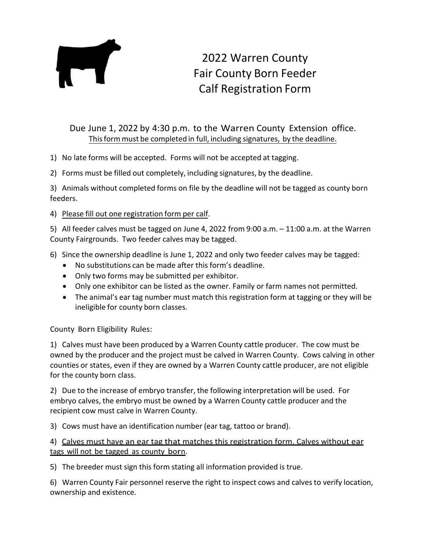

## 2022 Warren County Fair County Born Feeder Calf Registration Form

## Due June 1, 2022 by 4:30 p.m. to the Warren County Extension office. This form must be completed in full, including signatures, by the deadline.

- 1) No late forms will be accepted. Forms will not be accepted at tagging.
- 2) Forms must be filled out completely, including signatures, by the deadline.

3) Animals without completed forms on file by the deadline will not be tagged as county born feeders.

4) Please fill out one registration form per calf.

5) All feeder calves must be tagged on June 4, 2022 from 9:00 a.m. – 11:00 a.m. at the Warren County Fairgrounds. Two feeder calves may be tagged.

- 6) Since the ownership deadline is June 1, 2022 and only two feeder calves may be tagged:
	- No substitutions can be made after this form's deadline.
	- Only two forms may be submitted per exhibitor.
	- Only one exhibitor can be listed as the owner. Family or farm names not permitted.
	- The animal's ear tag number must match this registration form at tagging or they will be ineligible for county born classes.

County Born Eligibility Rules:

1) Calves must have been produced by a Warren County cattle producer. The cow must be owned by the producer and the project must be calved in Warren County. Cows calving in other counties or states, even if they are owned by a Warren County cattle producer, are not eligible for the county born class.

2) Due to the increase of embryo transfer, the following interpretation will be used. For embryo calves, the embryo must be owned by a Warren County cattle producer and the recipient cow must calve in Warren County.

3) Cows must have an identification number (ear tag, tattoo or brand).

## 4) Calves must have an ear tag that matches this registration form. Calves without ear tags will not be tagged as county born.

5) The breeder must sign this form stating all information provided is true.

6) Warren County Fair personnel reserve the right to inspect cows and calves to verify location, ownership and existence.